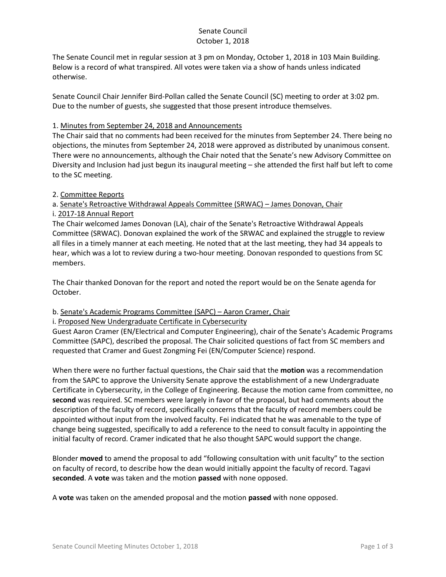## Senate Council October 1, 2018

The Senate Council met in regular session at 3 pm on Monday, October 1, 2018 in 103 Main Building. Below is a record of what transpired. All votes were taken via a show of hands unless indicated otherwise.

Senate Council Chair Jennifer Bird-Pollan called the Senate Council (SC) meeting to order at 3:02 pm. Due to the number of guests, she suggested that those present introduce themselves.

#### 1. Minutes from September 24, 2018 and Announcements

The Chair said that no comments had been received for the minutes from September 24. There being no objections, the minutes from September 24, 2018 were approved as distributed by unanimous consent. There were no announcements, although the Chair noted that the Senate's new Advisory Committee on Diversity and Inclusion had just begun its inaugural meeting – she attended the first half but left to come to the SC meeting.

## 2. Committee Reports

# a. Senate's Retroactive Withdrawal Appeals Committee (SRWAC) – James Donovan, Chair

## i. 2017-18 Annual Report

The Chair welcomed James Donovan (LA), chair of the Senate's Retroactive Withdrawal Appeals Committee (SRWAC). Donovan explained the work of the SRWAC and explained the struggle to review all files in a timely manner at each meeting. He noted that at the last meeting, they had 34 appeals to hear, which was a lot to review during a two-hour meeting. Donovan responded to questions from SC members.

The Chair thanked Donovan for the report and noted the report would be on the Senate agenda for October.

# b. Senate's Academic Programs Committee (SAPC) – Aaron Cramer, Chair

#### i. Proposed New Undergraduate Certificate in Cybersecurity

Guest Aaron Cramer (EN/Electrical and Computer Engineering), chair of the Senate's Academic Programs Committee (SAPC), described the proposal. The Chair solicited questions of fact from SC members and requested that Cramer and Guest Zongming Fei (EN/Computer Science) respond.

When there were no further factual questions, the Chair said that the **motion** was a recommendation from the SAPC to approve the University Senate approve the establishment of a new Undergraduate Certificate in Cybersecurity, in the College of Engineering. Because the motion came from committee, no **second** was required. SC members were largely in favor of the proposal, but had comments about the description of the faculty of record, specifically concerns that the faculty of record members could be appointed without input from the involved faculty. Fei indicated that he was amenable to the type of change being suggested, specifically to add a reference to the need to consult faculty in appointing the initial faculty of record. Cramer indicated that he also thought SAPC would support the change.

Blonder **moved** to amend the proposal to add "following consultation with unit faculty" to the section on faculty of record, to describe how the dean would initially appoint the faculty of record. Tagavi **seconded**. A **vote** was taken and the motion **passed** with none opposed.

A **vote** was taken on the amended proposal and the motion **passed** with none opposed.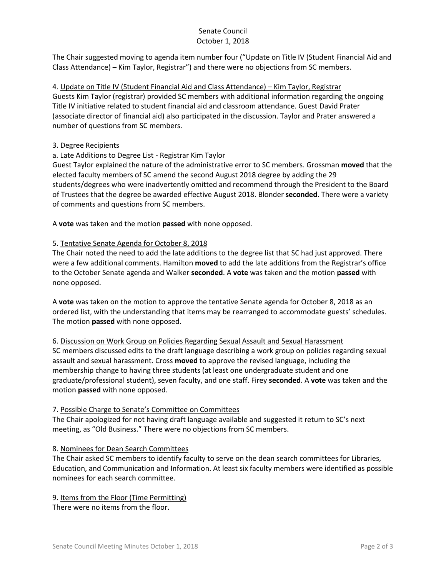#### Senate Council October 1, 2018

The Chair suggested moving to agenda item number four ("Update on Title IV (Student Financial Aid and Class Attendance) – Kim Taylor, Registrar") and there were no objections from SC members.

4. Update on Title IV (Student Financial Aid and Class Attendance) – Kim Taylor, Registrar Guests Kim Taylor (registrar) provided SC members with additional information regarding the ongoing Title IV initiative related to student financial aid and classroom attendance. Guest David Prater (associate director of financial aid) also participated in the discussion. Taylor and Prater answered a number of questions from SC members.

## 3. Degree Recipients

# a. Late Additions to Degree List - Registrar Kim Taylor

Guest Taylor explained the nature of the administrative error to SC members. Grossman **moved** that the elected faculty members of SC amend the second August 2018 degree by adding the 29 students/degrees who were inadvertently omitted and recommend through the President to the Board of Trustees that the degree be awarded effective August 2018. Blonder **seconded**. There were a variety of comments and questions from SC members.

A **vote** was taken and the motion **passed** with none opposed.

## 5. Tentative Senate Agenda for October 8, 2018

The Chair noted the need to add the late additions to the degree list that SC had just approved. There were a few additional comments. Hamilton **moved** to add the late additions from the Registrar's office to the October Senate agenda and Walker **seconded**. A **vote** was taken and the motion **passed** with none opposed.

A **vote** was taken on the motion to approve the tentative Senate agenda for October 8, 2018 as an ordered list, with the understanding that items may be rearranged to accommodate guests' schedules. The motion **passed** with none opposed.

#### 6. Discussion on Work Group on Policies Regarding Sexual Assault and Sexual Harassment

SC members discussed edits to the draft language describing a work group on policies regarding sexual assault and sexual harassment. Cross **moved** to approve the revised language, including the membership change to having three students (at least one undergraduate student and one graduate/professional student), seven faculty, and one staff. Firey **seconded**. A **vote** was taken and the motion **passed** with none opposed.

#### 7. Possible Charge to Senate's Committee on Committees

The Chair apologized for not having draft language available and suggested it return to SC's next meeting, as "Old Business." There were no objections from SC members.

# 8. Nominees for Dean Search Committees

The Chair asked SC members to identify faculty to serve on the dean search committees for Libraries, Education, and Communication and Information. At least six faculty members were identified as possible nominees for each search committee.

9. Items from the Floor (Time Permitting) There were no items from the floor.